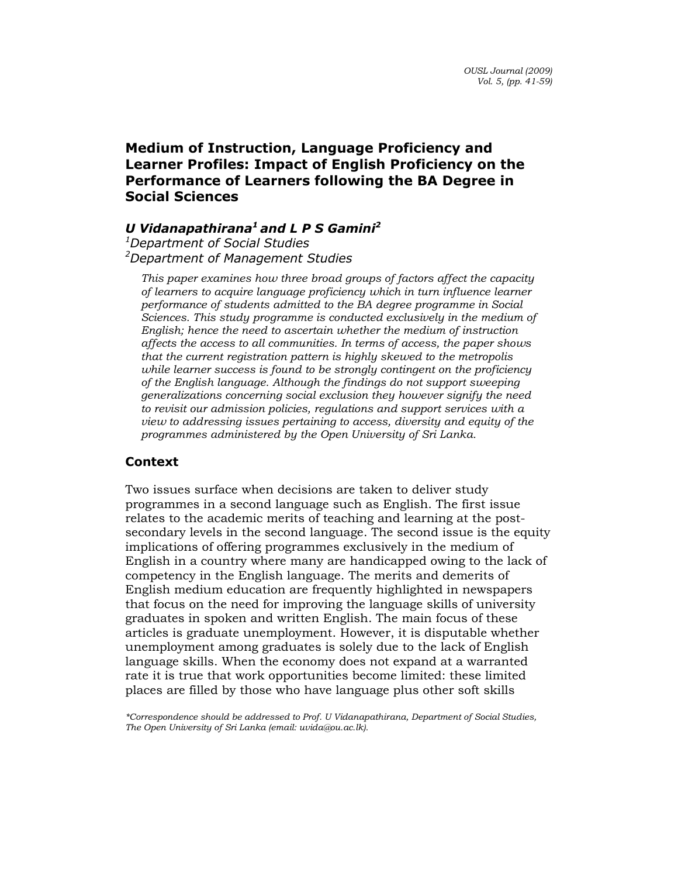# Medium of Instruction, Language Proficiency and Learner Profiles: Impact of English Proficiency on the Performance of Learners following the BA Degree in Social Sciences

# U Vidanapathirana<sup>1</sup> and L P S Gamini<sup>2</sup>

<sup>1</sup>Department of Social Studies <sup>2</sup>Department of Management Studies

This paper examines how three broad groups of factors affect the capacity of learners to acquire language proficiency which in turn influence learner performance of students admitted to the BA degree programme in Social Sciences. This study programme is conducted exclusively in the medium of English; hence the need to ascertain whether the medium of instruction affects the access to all communities. In terms of access, the paper shows that the current registration pattern is highly skewed to the metropolis while learner success is found to be strongly contingent on the proficiency of the English language. Although the findings do not support sweeping generalizations concerning social exclusion they however signify the need to revisit our admission policies, regulations and support services with a view to addressing issues pertaining to access, diversity and equity of the programmes administered by the Open University of Sri Lanka.

# Context

Two issues surface when decisions are taken to deliver study programmes in a second language such as English. The first issue relates to the academic merits of teaching and learning at the postsecondary levels in the second language. The second issue is the equity implications of offering programmes exclusively in the medium of English in a country where many are handicapped owing to the lack of competency in the English language. The merits and demerits of English medium education are frequently highlighted in newspapers that focus on the need for improving the language skills of university graduates in spoken and written English. The main focus of these articles is graduate unemployment. However, it is disputable whether unemployment among graduates is solely due to the lack of English language skills. When the economy does not expand at a warranted rate it is true that work opportunities become limited: these limited places are filled by those who have language plus other soft skills

\*Correspondence should be addressed to Prof. U Vidanapathirana, Department of Social Studies, The Open University of Sri Lanka (email: uvida@ou.ac.lk).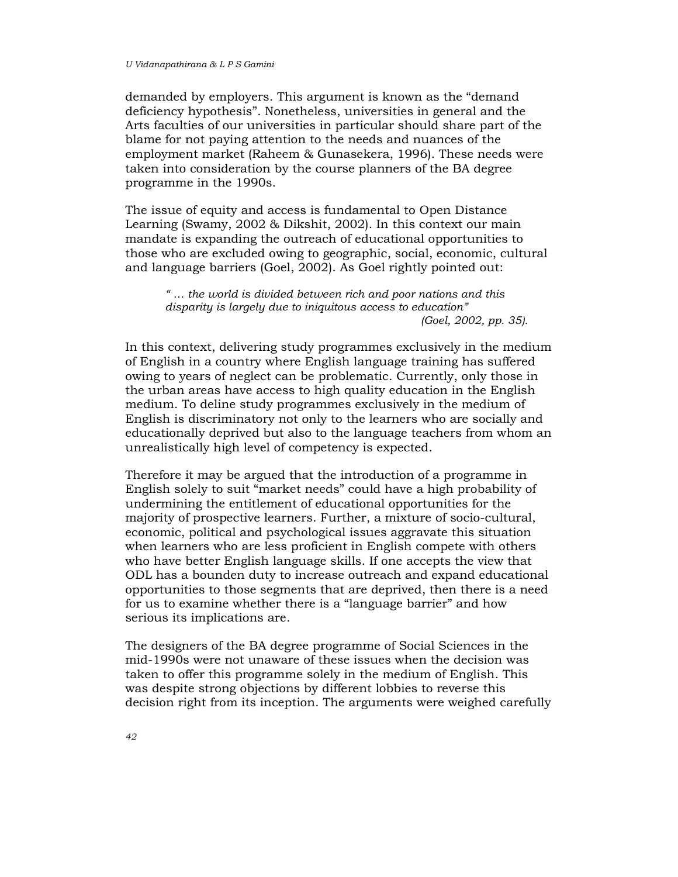demanded by employers. This argument is known as the "demand deficiency hypothesis". Nonetheless, universities in general and the Arts faculties of our universities in particular should share part of the blame for not paying attention to the needs and nuances of the employment market (Raheem & Gunasekera, 1996). These needs were taken into consideration by the course planners of the BA degree programme in the 1990s.

The issue of equity and access is fundamental to Open Distance Learning (Swamy, 2002 & Dikshit, 2002). In this context our main mandate is expanding the outreach of educational opportunities to those who are excluded owing to geographic, social, economic, cultural and language barriers (Goel, 2002). As Goel rightly pointed out:

" … the world is divided between rich and poor nations and this disparity is largely due to iniquitous access to education" (Goel, 2002, pp. 35).

In this context, delivering study programmes exclusively in the medium of English in a country where English language training has suffered owing to years of neglect can be problematic. Currently, only those in the urban areas have access to high quality education in the English medium. To deline study programmes exclusively in the medium of English is discriminatory not only to the learners who are socially and educationally deprived but also to the language teachers from whom an unrealistically high level of competency is expected.

Therefore it may be argued that the introduction of a programme in English solely to suit "market needs" could have a high probability of undermining the entitlement of educational opportunities for the majority of prospective learners. Further, a mixture of socio-cultural, economic, political and psychological issues aggravate this situation when learners who are less proficient in English compete with others who have better English language skills. If one accepts the view that ODL has a bounden duty to increase outreach and expand educational opportunities to those segments that are deprived, then there is a need for us to examine whether there is a "language barrier" and how serious its implications are.

The designers of the BA degree programme of Social Sciences in the mid-1990s were not unaware of these issues when the decision was taken to offer this programme solely in the medium of English. This was despite strong objections by different lobbies to reverse this decision right from its inception. The arguments were weighed carefully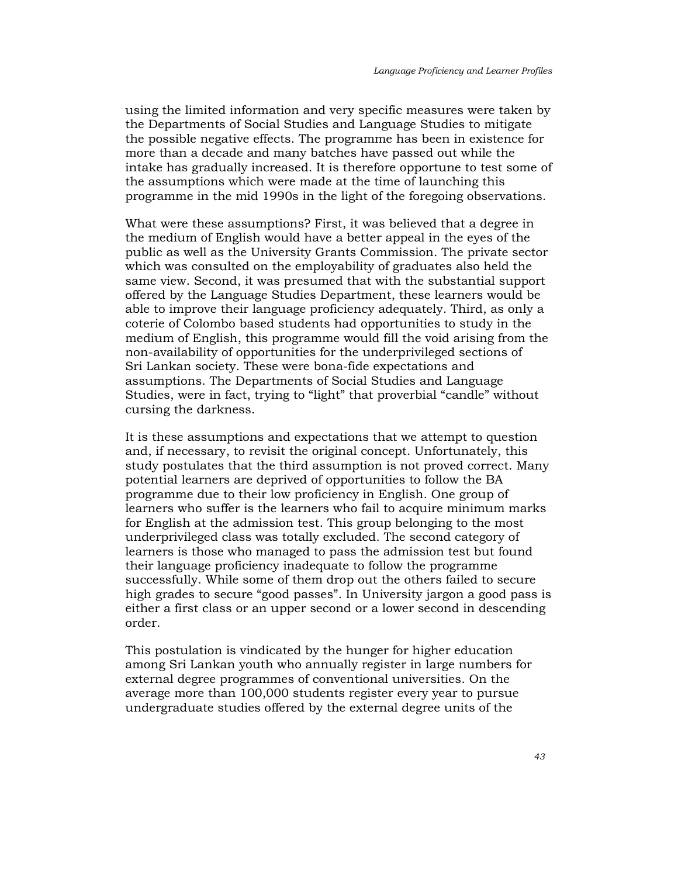using the limited information and very specific measures were taken by the Departments of Social Studies and Language Studies to mitigate the possible negative effects. The programme has been in existence for more than a decade and many batches have passed out while the intake has gradually increased. It is therefore opportune to test some of the assumptions which were made at the time of launching this programme in the mid 1990s in the light of the foregoing observations.

What were these assumptions? First, it was believed that a degree in the medium of English would have a better appeal in the eyes of the public as well as the University Grants Commission. The private sector which was consulted on the employability of graduates also held the same view. Second, it was presumed that with the substantial support offered by the Language Studies Department, these learners would be able to improve their language proficiency adequately. Third, as only a coterie of Colombo based students had opportunities to study in the medium of English, this programme would fill the void arising from the non-availability of opportunities for the underprivileged sections of Sri Lankan society. These were bona-fide expectations and assumptions. The Departments of Social Studies and Language Studies, were in fact, trying to "light" that proverbial "candle" without cursing the darkness.

It is these assumptions and expectations that we attempt to question and, if necessary, to revisit the original concept. Unfortunately, this study postulates that the third assumption is not proved correct. Many potential learners are deprived of opportunities to follow the BA programme due to their low proficiency in English. One group of learners who suffer is the learners who fail to acquire minimum marks for English at the admission test. This group belonging to the most underprivileged class was totally excluded. The second category of learners is those who managed to pass the admission test but found their language proficiency inadequate to follow the programme successfully. While some of them drop out the others failed to secure high grades to secure "good passes". In University jargon a good pass is either a first class or an upper second or a lower second in descending order.

This postulation is vindicated by the hunger for higher education among Sri Lankan youth who annually register in large numbers for external degree programmes of conventional universities. On the average more than 100,000 students register every year to pursue undergraduate studies offered by the external degree units of the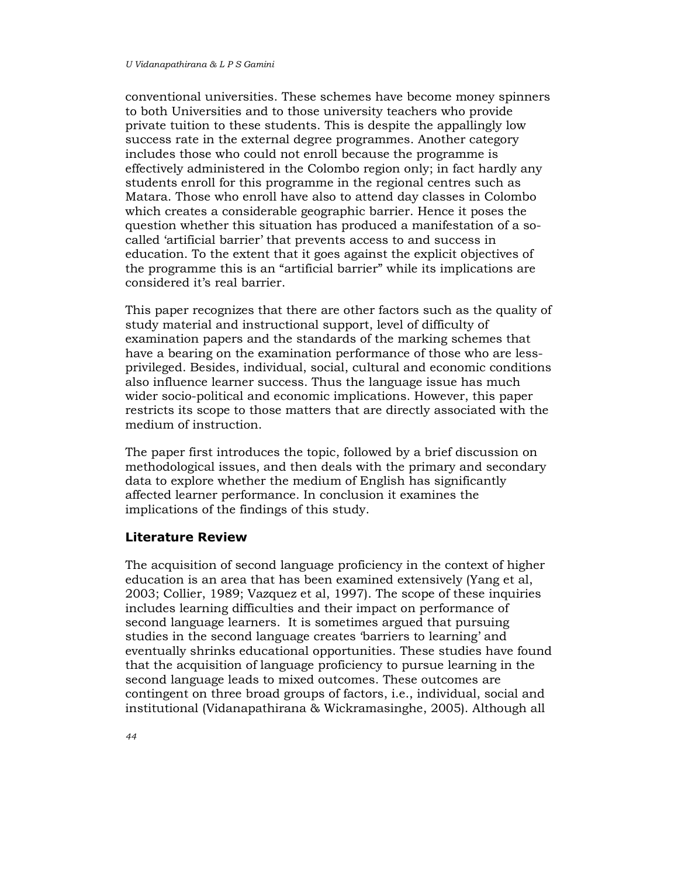conventional universities. These schemes have become money spinners to both Universities and to those university teachers who provide private tuition to these students. This is despite the appallingly low success rate in the external degree programmes. Another category includes those who could not enroll because the programme is effectively administered in the Colombo region only; in fact hardly any students enroll for this programme in the regional centres such as Matara. Those who enroll have also to attend day classes in Colombo which creates a considerable geographic barrier. Hence it poses the question whether this situation has produced a manifestation of a socalled 'artificial barrier' that prevents access to and success in education. To the extent that it goes against the explicit objectives of the programme this is an "artificial barrier" while its implications are considered it's real barrier.

This paper recognizes that there are other factors such as the quality of study material and instructional support, level of difficulty of examination papers and the standards of the marking schemes that have a bearing on the examination performance of those who are lessprivileged. Besides, individual, social, cultural and economic conditions also influence learner success. Thus the language issue has much wider socio-political and economic implications. However, this paper restricts its scope to those matters that are directly associated with the medium of instruction.

The paper first introduces the topic, followed by a brief discussion on methodological issues, and then deals with the primary and secondary data to explore whether the medium of English has significantly affected learner performance. In conclusion it examines the implications of the findings of this study.

## Literature Review

The acquisition of second language proficiency in the context of higher education is an area that has been examined extensively (Yang et al, 2003; Collier, 1989; Vazquez et al, 1997). The scope of these inquiries includes learning difficulties and their impact on performance of second language learners. It is sometimes argued that pursuing studies in the second language creates 'barriers to learning' and eventually shrinks educational opportunities. These studies have found that the acquisition of language proficiency to pursue learning in the second language leads to mixed outcomes. These outcomes are contingent on three broad groups of factors, i.e., individual, social and institutional (Vidanapathirana & Wickramasinghe, 2005). Although all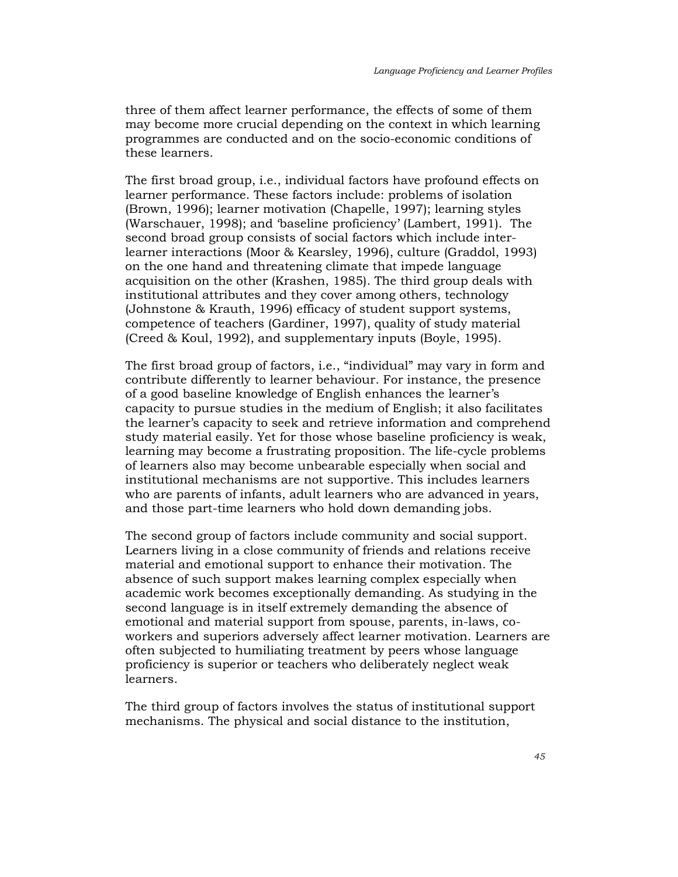three of them affect learner performance, the effects of some of them may become more crucial depending on the context in which learning programmes are conducted and on the socio-economic conditions of these learners.

The first broad group, i.e., individual factors have profound effects on learner performance. These factors include: problems of isolation (Brown, 1996); learner motivation (Chapelle, 1997); learning styles (Warschauer, 1998); and 'baseline proficiency' (Lambert, 1991). The second broad group consists of social factors which include interlearner interactions (Moor & Kearsley, 1996), culture (Graddol, 1993) on the one hand and threatening climate that impede language acquisition on the other (Krashen, 1985). The third group deals with institutional attributes and they cover among others, technology (Johnstone & Krauth, 1996) efficacy of student support systems, competence of teachers (Gardiner, 1997), quality of study material (Creed & Koul, 1992), and supplementary inputs (Boyle, 1995).

The first broad group of factors, i.e., "individual" may vary in form and contribute differently to learner behaviour. For instance, the presence of a good baseline knowledge of English enhances the learner's capacity to pursue studies in the medium of English; it also facilitates the learner's capacity to seek and retrieve information and comprehend study material easily. Yet for those whose baseline proficiency is weak, learning may become a frustrating proposition. The life-cycle problems of learners also may become unbearable especially when social and institutional mechanisms are not supportive. This includes learners who are parents of infants, adult learners who are advanced in years, and those part-time learners who hold down demanding jobs.

The second group of factors include community and social support. Learners living in a close community of friends and relations receive material and emotional support to enhance their motivation. The absence of such support makes learning complex especially when academic work becomes exceptionally demanding. As studying in the second language is in itself extremely demanding the absence of emotional and material support from spouse, parents, in-laws, coworkers and superiors adversely affect learner motivation. Learners are often subjected to humiliating treatment by peers whose language proficiency is superior or teachers who deliberately neglect weak learners.

The third group of factors involves the status of institutional support mechanisms. The physical and social distance to the institution,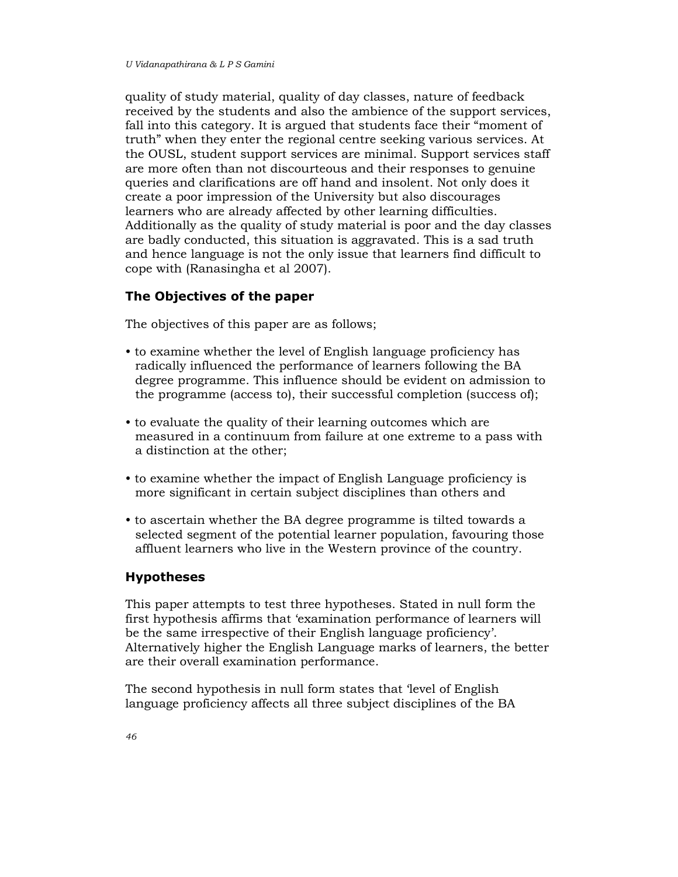quality of study material, quality of day classes, nature of feedback received by the students and also the ambience of the support services, fall into this category. It is argued that students face their "moment of truth" when they enter the regional centre seeking various services. At the OUSL, student support services are minimal. Support services staff are more often than not discourteous and their responses to genuine queries and clarifications are off hand and insolent. Not only does it create a poor impression of the University but also discourages learners who are already affected by other learning difficulties. Additionally as the quality of study material is poor and the day classes are badly conducted, this situation is aggravated. This is a sad truth and hence language is not the only issue that learners find difficult to cope with (Ranasingha et al 2007).

# The Objectives of the paper

The objectives of this paper are as follows;

- to examine whether the level of English language proficiency has radically influenced the performance of learners following the BA degree programme. This influence should be evident on admission to the programme (access to), their successful completion (success of);
- to evaluate the quality of their learning outcomes which are measured in a continuum from failure at one extreme to a pass with a distinction at the other;
- to examine whether the impact of English Language proficiency is more significant in certain subject disciplines than others and
- to ascertain whether the BA degree programme is tilted towards a selected segment of the potential learner population, favouring those affluent learners who live in the Western province of the country.

## Hypotheses

This paper attempts to test three hypotheses. Stated in null form the first hypothesis affirms that 'examination performance of learners will be the same irrespective of their English language proficiency'. Alternatively higher the English Language marks of learners, the better are their overall examination performance.

The second hypothesis in null form states that 'level of English language proficiency affects all three subject disciplines of the BA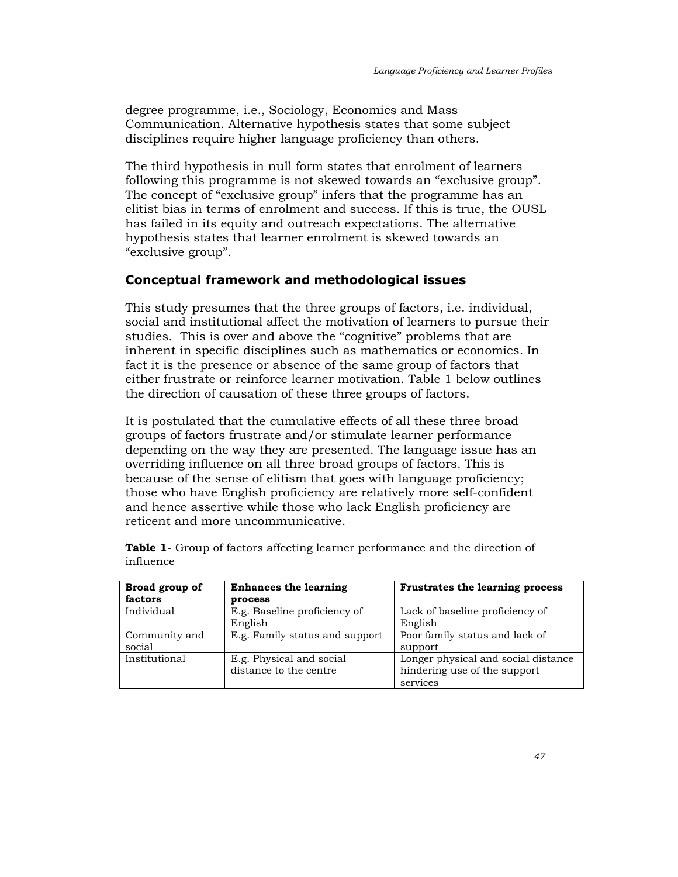degree programme, i.e., Sociology, Economics and Mass Communication. Alternative hypothesis states that some subject disciplines require higher language proficiency than others.

The third hypothesis in null form states that enrolment of learners following this programme is not skewed towards an "exclusive group". The concept of "exclusive group" infers that the programme has an elitist bias in terms of enrolment and success. If this is true, the OUSL has failed in its equity and outreach expectations. The alternative hypothesis states that learner enrolment is skewed towards an "exclusive group".

# Conceptual framework and methodological issues

This study presumes that the three groups of factors, i.e. individual, social and institutional affect the motivation of learners to pursue their studies. This is over and above the "cognitive" problems that are inherent in specific disciplines such as mathematics or economics. In fact it is the presence or absence of the same group of factors that either frustrate or reinforce learner motivation. Table 1 below outlines the direction of causation of these three groups of factors.

It is postulated that the cumulative effects of all these three broad groups of factors frustrate and/or stimulate learner performance depending on the way they are presented. The language issue has an overriding influence on all three broad groups of factors. This is because of the sense of elitism that goes with language proficiency; those who have English proficiency are relatively more self-confident and hence assertive while those who lack English proficiency are reticent and more uncommunicative.

| Broad group of | <b>Enhances the learning</b>   | Frustrates the learning process     |
|----------------|--------------------------------|-------------------------------------|
| factors        | process                        |                                     |
| Individual     | E.g. Baseline proficiency of   | Lack of baseline proficiency of     |
|                | English                        | English                             |
| Community and  | E.g. Family status and support | Poor family status and lack of      |
| social         |                                | support                             |
| Institutional  | E.g. Physical and social       | Longer physical and social distance |
|                | distance to the centre         | hindering use of the support        |
|                |                                | services                            |

Table 1- Group of factors affecting learner performance and the direction of influence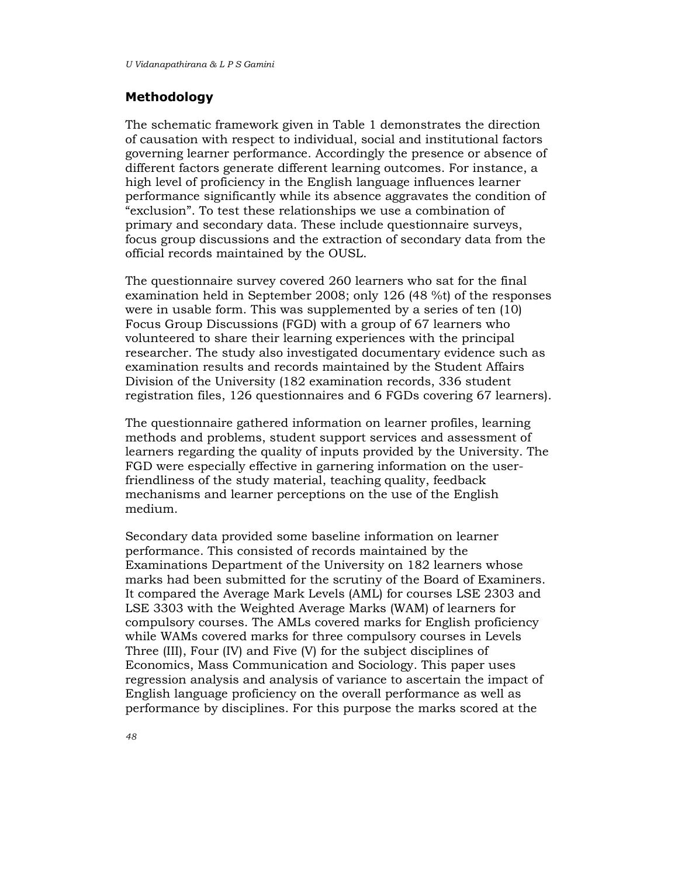## Methodology

The schematic framework given in Table 1 demonstrates the direction of causation with respect to individual, social and institutional factors governing learner performance. Accordingly the presence or absence of different factors generate different learning outcomes. For instance, a high level of proficiency in the English language influences learner performance significantly while its absence aggravates the condition of "exclusion". To test these relationships we use a combination of primary and secondary data. These include questionnaire surveys, focus group discussions and the extraction of secondary data from the official records maintained by the OUSL.

The questionnaire survey covered 260 learners who sat for the final examination held in September 2008; only 126 (48 %t) of the responses were in usable form. This was supplemented by a series of ten (10) Focus Group Discussions (FGD) with a group of 67 learners who volunteered to share their learning experiences with the principal researcher. The study also investigated documentary evidence such as examination results and records maintained by the Student Affairs Division of the University (182 examination records, 336 student registration files, 126 questionnaires and 6 FGDs covering 67 learners).

The questionnaire gathered information on learner profiles, learning methods and problems, student support services and assessment of learners regarding the quality of inputs provided by the University. The FGD were especially effective in garnering information on the userfriendliness of the study material, teaching quality, feedback mechanisms and learner perceptions on the use of the English medium.

Secondary data provided some baseline information on learner performance. This consisted of records maintained by the Examinations Department of the University on 182 learners whose marks had been submitted for the scrutiny of the Board of Examiners. It compared the Average Mark Levels (AML) for courses LSE 2303 and LSE 3303 with the Weighted Average Marks (WAM) of learners for compulsory courses. The AMLs covered marks for English proficiency while WAMs covered marks for three compulsory courses in Levels Three (III), Four (IV) and Five (V) for the subject disciplines of Economics, Mass Communication and Sociology. This paper uses regression analysis and analysis of variance to ascertain the impact of English language proficiency on the overall performance as well as performance by disciplines. For this purpose the marks scored at the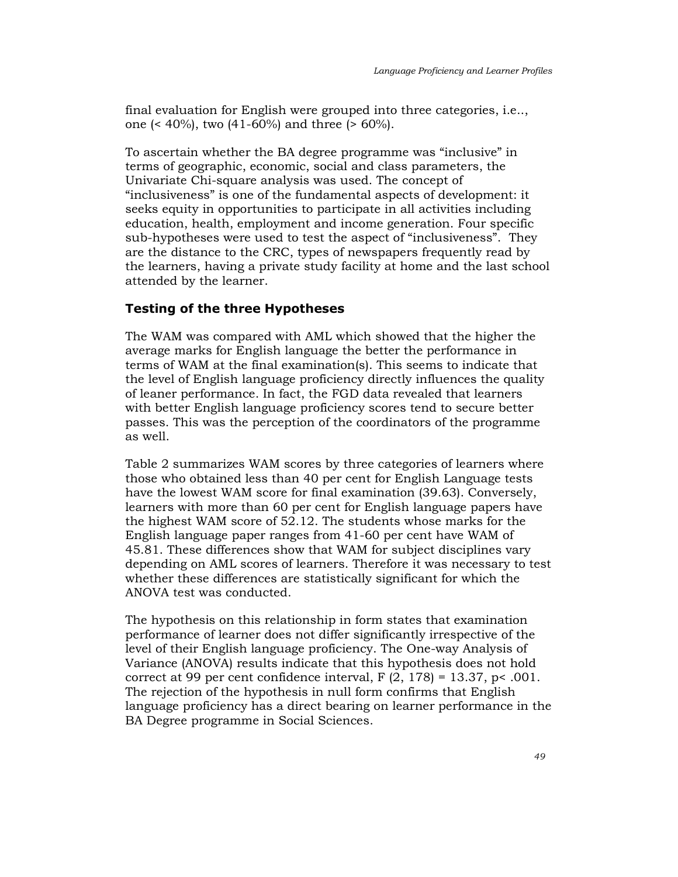final evaluation for English were grouped into three categories, i.e.., one (< 40%), two (41-60%) and three (> 60%).

To ascertain whether the BA degree programme was "inclusive" in terms of geographic, economic, social and class parameters, the Univariate Chi-square analysis was used. The concept of "inclusiveness" is one of the fundamental aspects of development: it seeks equity in opportunities to participate in all activities including education, health, employment and income generation. Four specific sub-hypotheses were used to test the aspect of "inclusiveness". They are the distance to the CRC, types of newspapers frequently read by the learners, having a private study facility at home and the last school attended by the learner.

# Testing of the three Hypotheses

The WAM was compared with AML which showed that the higher the average marks for English language the better the performance in terms of WAM at the final examination(s). This seems to indicate that the level of English language proficiency directly influences the quality of leaner performance. In fact, the FGD data revealed that learners with better English language proficiency scores tend to secure better passes. This was the perception of the coordinators of the programme as well.

Table 2 summarizes WAM scores by three categories of learners where those who obtained less than 40 per cent for English Language tests have the lowest WAM score for final examination (39.63). Conversely, learners with more than 60 per cent for English language papers have the highest WAM score of 52.12. The students whose marks for the English language paper ranges from 41-60 per cent have WAM of 45.81. These differences show that WAM for subject disciplines vary depending on AML scores of learners. Therefore it was necessary to test whether these differences are statistically significant for which the ANOVA test was conducted.

The hypothesis on this relationship in form states that examination performance of learner does not differ significantly irrespective of the level of their English language proficiency. The One-way Analysis of Variance (ANOVA) results indicate that this hypothesis does not hold correct at 99 per cent confidence interval,  $F(2, 178) = 13.37$ , p< .001. The rejection of the hypothesis in null form confirms that English language proficiency has a direct bearing on learner performance in the BA Degree programme in Social Sciences.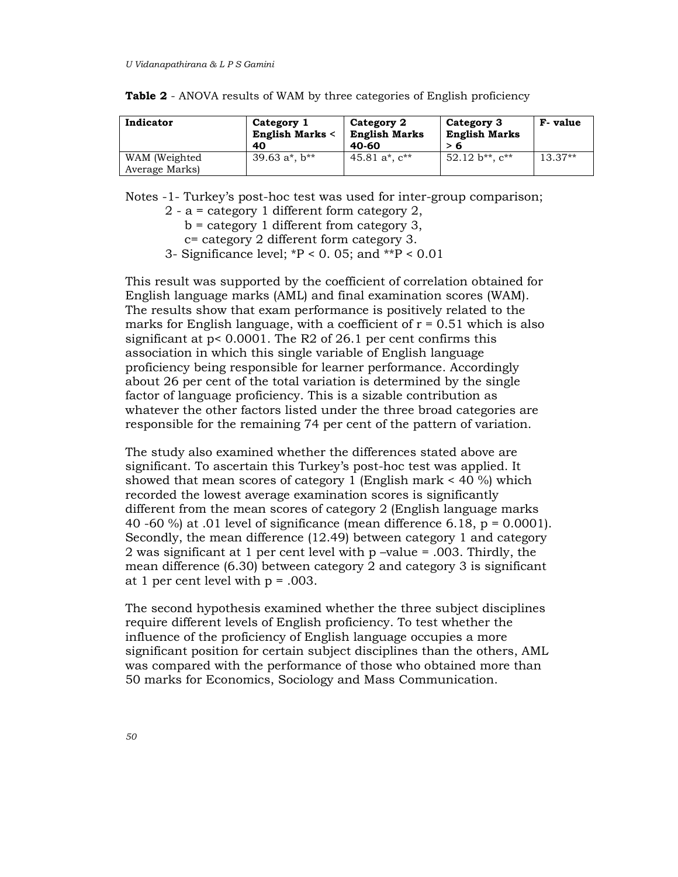| Indicator      | Category 1<br><b>English Marks &lt;</b><br>40 | Category 2<br><b>English Marks</b><br>40-60 | Category 3<br><b>English Marks</b><br>> 6 | F-value   |
|----------------|-----------------------------------------------|---------------------------------------------|-------------------------------------------|-----------|
| WAM (Weighted) | 39.63 $a^*$ , $b^{**}$                        | 45.81 $a^*$ , $c^{**}$                      | $52.12 b**$ . $c**$                       | $13.37**$ |
| Average Marks) |                                               |                                             |                                           |           |

Table 2 - ANOVA results of WAM by three categories of English proficiency

Notes -1- Turkey's post-hoc test was used for inter-group comparison;

2 - a = category 1 different form category 2,

b = category 1 different from category 3,

c= category 2 different form category 3.

3- Significance level;  $*P < 0$ . 05; and  $*P < 0.01$ 

This result was supported by the coefficient of correlation obtained for English language marks (AML) and final examination scores (WAM). The results show that exam performance is positively related to the marks for English language, with a coefficient of  $r = 0.51$  which is also significant at p< 0.0001. The R2 of 26.1 per cent confirms this association in which this single variable of English language proficiency being responsible for learner performance. Accordingly about 26 per cent of the total variation is determined by the single factor of language proficiency. This is a sizable contribution as whatever the other factors listed under the three broad categories are responsible for the remaining 74 per cent of the pattern of variation.

The study also examined whether the differences stated above are significant. To ascertain this Turkey's post-hoc test was applied. It showed that mean scores of category 1 (English mark < 40 %) which recorded the lowest average examination scores is significantly different from the mean scores of category 2 (English language marks 40 -60 %) at .01 level of significance (mean difference 6.18,  $p = 0.0001$ ). Secondly, the mean difference (12.49) between category 1 and category 2 was significant at 1 per cent level with p –value = .003. Thirdly, the mean difference (6.30) between category 2 and category 3 is significant at 1 per cent level with p = .003.

The second hypothesis examined whether the three subject disciplines require different levels of English proficiency. To test whether the influence of the proficiency of English language occupies a more significant position for certain subject disciplines than the others, AML was compared with the performance of those who obtained more than 50 marks for Economics, Sociology and Mass Communication.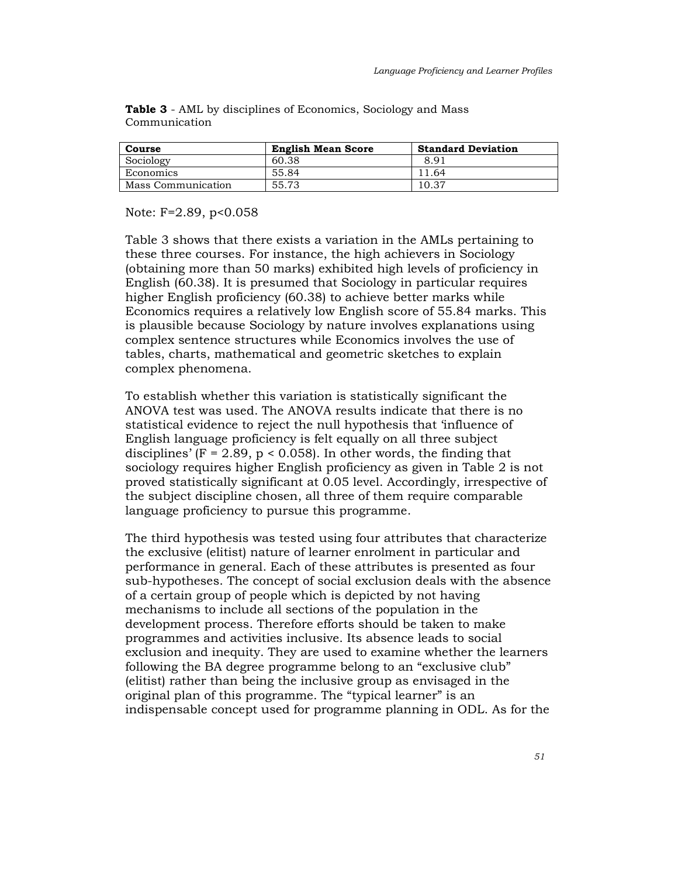| Course             | <b>English Mean Score</b> | <b>Standard Deviation</b> |
|--------------------|---------------------------|---------------------------|
| Sociology          | 60.38                     | 8.91                      |
| Economics          | 55.84                     | 11.64                     |
| Mass Communication | 55.73                     | 10.37                     |

Table 3 - AML by disciplines of Economics, Sociology and Mass Communication

Note: F=2.89, p<0.058

Table 3 shows that there exists a variation in the AMLs pertaining to these three courses. For instance, the high achievers in Sociology (obtaining more than 50 marks) exhibited high levels of proficiency in English (60.38). It is presumed that Sociology in particular requires higher English proficiency (60.38) to achieve better marks while Economics requires a relatively low English score of 55.84 marks. This is plausible because Sociology by nature involves explanations using complex sentence structures while Economics involves the use of tables, charts, mathematical and geometric sketches to explain complex phenomena.

To establish whether this variation is statistically significant the ANOVA test was used. The ANOVA results indicate that there is no statistical evidence to reject the null hypothesis that 'influence of English language proficiency is felt equally on all three subject disciplines' ( $F = 2.89$ ,  $p < 0.058$ ). In other words, the finding that sociology requires higher English proficiency as given in Table 2 is not proved statistically significant at 0.05 level. Accordingly, irrespective of the subject discipline chosen, all three of them require comparable language proficiency to pursue this programme.

The third hypothesis was tested using four attributes that characterize the exclusive (elitist) nature of learner enrolment in particular and performance in general. Each of these attributes is presented as four sub-hypotheses. The concept of social exclusion deals with the absence of a certain group of people which is depicted by not having mechanisms to include all sections of the population in the development process. Therefore efforts should be taken to make programmes and activities inclusive. Its absence leads to social exclusion and inequity. They are used to examine whether the learners following the BA degree programme belong to an "exclusive club" (elitist) rather than being the inclusive group as envisaged in the original plan of this programme. The "typical learner" is an indispensable concept used for programme planning in ODL. As for the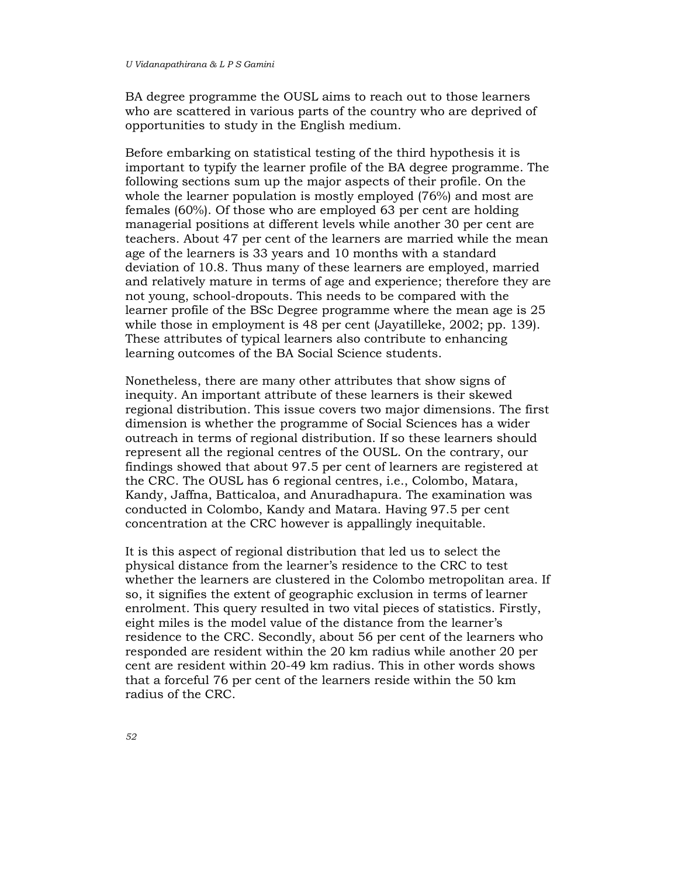BA degree programme the OUSL aims to reach out to those learners who are scattered in various parts of the country who are deprived of opportunities to study in the English medium.

Before embarking on statistical testing of the third hypothesis it is important to typify the learner profile of the BA degree programme. The following sections sum up the major aspects of their profile. On the whole the learner population is mostly employed (76%) and most are females (60%). Of those who are employed 63 per cent are holding managerial positions at different levels while another 30 per cent are teachers. About 47 per cent of the learners are married while the mean age of the learners is 33 years and 10 months with a standard deviation of 10.8. Thus many of these learners are employed, married and relatively mature in terms of age and experience; therefore they are not young, school-dropouts. This needs to be compared with the learner profile of the BSc Degree programme where the mean age is 25 while those in employment is 48 per cent (Jayatilleke, 2002; pp. 139). These attributes of typical learners also contribute to enhancing learning outcomes of the BA Social Science students.

Nonetheless, there are many other attributes that show signs of inequity. An important attribute of these learners is their skewed regional distribution. This issue covers two major dimensions. The first dimension is whether the programme of Social Sciences has a wider outreach in terms of regional distribution. If so these learners should represent all the regional centres of the OUSL. On the contrary, our findings showed that about 97.5 per cent of learners are registered at the CRC. The OUSL has 6 regional centres, i.e., Colombo, Matara, Kandy, Jaffna, Batticaloa, and Anuradhapura. The examination was conducted in Colombo, Kandy and Matara. Having 97.5 per cent concentration at the CRC however is appallingly inequitable.

It is this aspect of regional distribution that led us to select the physical distance from the learner's residence to the CRC to test whether the learners are clustered in the Colombo metropolitan area. If so, it signifies the extent of geographic exclusion in terms of learner enrolment. This query resulted in two vital pieces of statistics. Firstly, eight miles is the model value of the distance from the learner's residence to the CRC. Secondly, about 56 per cent of the learners who responded are resident within the 20 km radius while another 20 per cent are resident within 20-49 km radius. This in other words shows that a forceful 76 per cent of the learners reside within the 50 km radius of the CRC.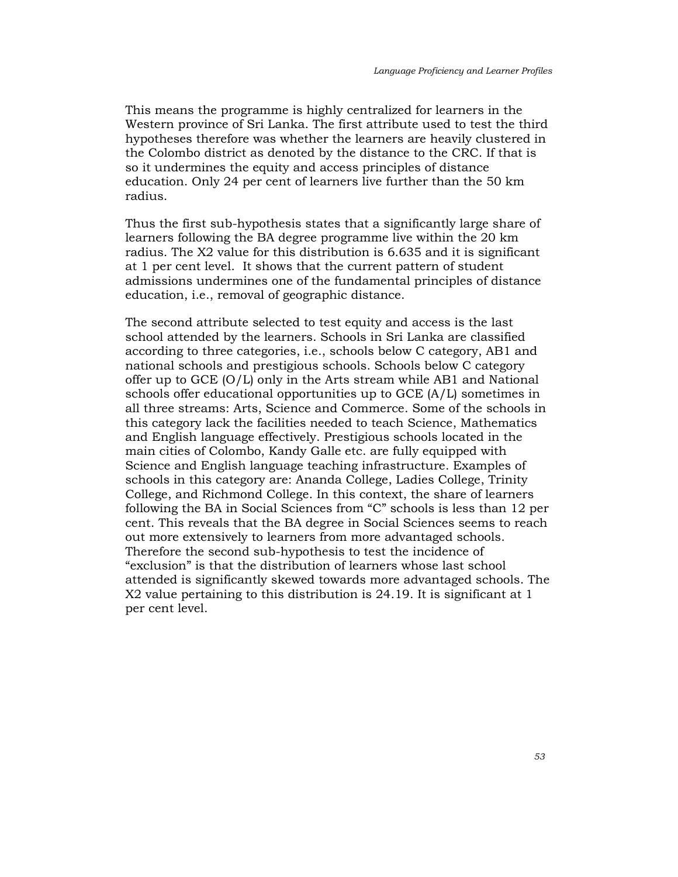This means the programme is highly centralized for learners in the Western province of Sri Lanka. The first attribute used to test the third hypotheses therefore was whether the learners are heavily clustered in the Colombo district as denoted by the distance to the CRC. If that is so it undermines the equity and access principles of distance education. Only 24 per cent of learners live further than the 50 km radius.

Thus the first sub-hypothesis states that a significantly large share of learners following the BA degree programme live within the 20 km radius. The X2 value for this distribution is 6.635 and it is significant at 1 per cent level. It shows that the current pattern of student admissions undermines one of the fundamental principles of distance education, i.e., removal of geographic distance.

The second attribute selected to test equity and access is the last school attended by the learners. Schools in Sri Lanka are classified according to three categories, i.e., schools below C category, AB1 and national schools and prestigious schools. Schools below C category offer up to GCE (O/L) only in the Arts stream while AB1 and National schools offer educational opportunities up to GCE (A/L) sometimes in all three streams: Arts, Science and Commerce. Some of the schools in this category lack the facilities needed to teach Science, Mathematics and English language effectively. Prestigious schools located in the main cities of Colombo, Kandy Galle etc. are fully equipped with Science and English language teaching infrastructure. Examples of schools in this category are: Ananda College, Ladies College, Trinity College, and Richmond College. In this context, the share of learners following the BA in Social Sciences from "C" schools is less than 12 per cent. This reveals that the BA degree in Social Sciences seems to reach out more extensively to learners from more advantaged schools. Therefore the second sub-hypothesis to test the incidence of "exclusion" is that the distribution of learners whose last school attended is significantly skewed towards more advantaged schools. The X2 value pertaining to this distribution is 24.19. It is significant at 1 per cent level.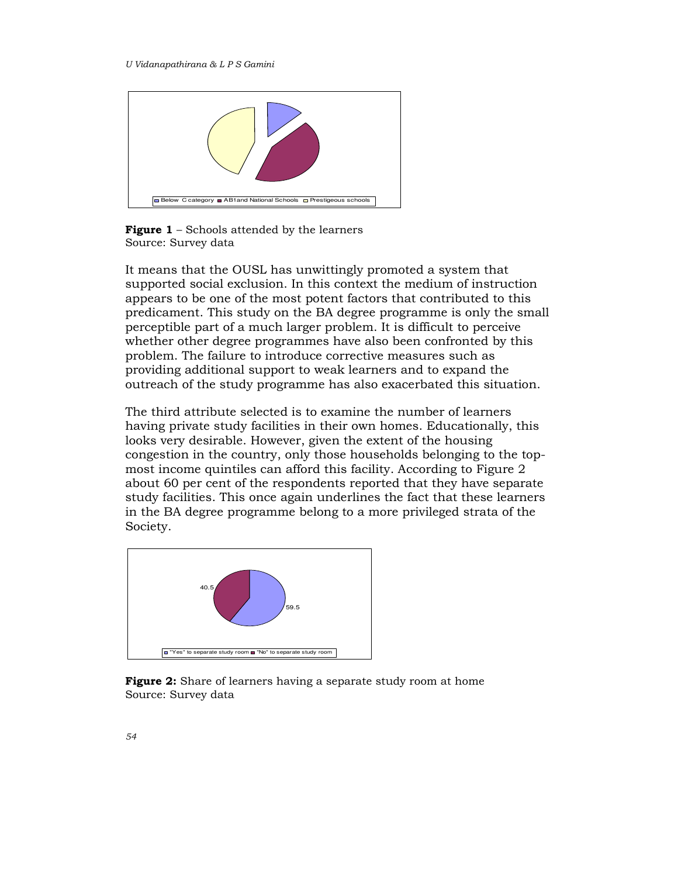

**Figure 1** – Schools attended by the learners Source: Survey data

It means that the OUSL has unwittingly promoted a system that supported social exclusion. In this context the medium of instruction appears to be one of the most potent factors that contributed to this predicament. This study on the BA degree programme is only the small perceptible part of a much larger problem. It is difficult to perceive whether other degree programmes have also been confronted by this problem. The failure to introduce corrective measures such as providing additional support to weak learners and to expand the outreach of the study programme has also exacerbated this situation.

The third attribute selected is to examine the number of learners having private study facilities in their own homes. Educationally, this looks very desirable. However, given the extent of the housing congestion in the country, only those households belonging to the topmost income quintiles can afford this facility. According to Figure 2 about 60 per cent of the respondents reported that they have separate study facilities. This once again underlines the fact that these learners in the BA degree programme belong to a more privileged strata of the Society.



Figure 2: Share of learners having a separate study room at home Source: Survey data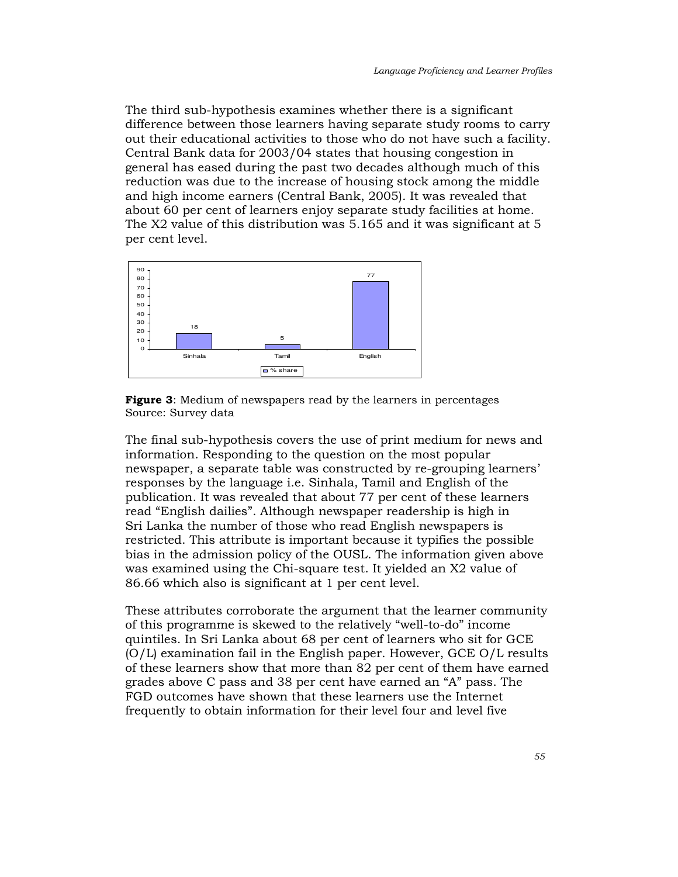The third sub-hypothesis examines whether there is a significant difference between those learners having separate study rooms to carry out their educational activities to those who do not have such a facility. Central Bank data for 2003/04 states that housing congestion in general has eased during the past two decades although much of this reduction was due to the increase of housing stock among the middle and high income earners (Central Bank, 2005). It was revealed that about 60 per cent of learners enjoy separate study facilities at home. The X2 value of this distribution was 5.165 and it was significant at 5 per cent level.



**Figure 3:** Medium of newspapers read by the learners in percentages Source: Survey data

The final sub-hypothesis covers the use of print medium for news and information. Responding to the question on the most popular newspaper, a separate table was constructed by re-grouping learners' responses by the language i.e. Sinhala, Tamil and English of the publication. It was revealed that about 77 per cent of these learners read "English dailies". Although newspaper readership is high in Sri Lanka the number of those who read English newspapers is restricted. This attribute is important because it typifies the possible bias in the admission policy of the OUSL. The information given above was examined using the Chi-square test. It yielded an X2 value of 86.66 which also is significant at 1 per cent level.

These attributes corroborate the argument that the learner community of this programme is skewed to the relatively "well-to-do" income quintiles. In Sri Lanka about 68 per cent of learners who sit for GCE (O/L) examination fail in the English paper. However, GCE O/L results of these learners show that more than 82 per cent of them have earned grades above C pass and 38 per cent have earned an "A" pass. The FGD outcomes have shown that these learners use the Internet frequently to obtain information for their level four and level five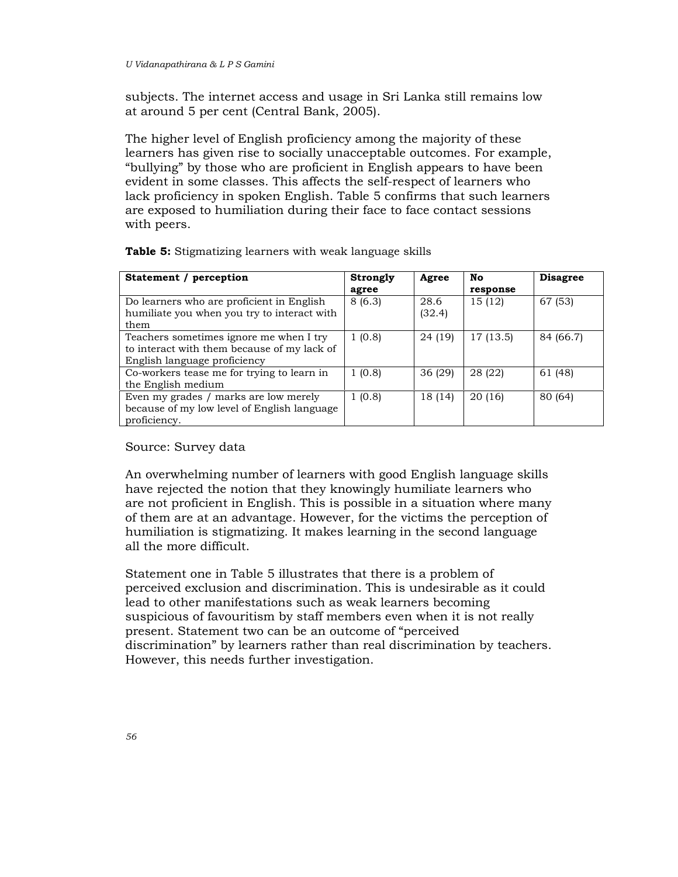subjects. The internet access and usage in Sri Lanka still remains low at around 5 per cent (Central Bank, 2005).

The higher level of English proficiency among the majority of these learners has given rise to socially unacceptable outcomes. For example, "bullying" by those who are proficient in English appears to have been evident in some classes. This affects the self-respect of learners who lack proficiency in spoken English. Table 5 confirms that such learners are exposed to humiliation during their face to face contact sessions with peers.

| Statement / perception                      | Strongly | Agree   | No        | <b>Disagree</b> |
|---------------------------------------------|----------|---------|-----------|-----------------|
|                                             | agree    |         | response  |                 |
| Do learners who are proficient in English   | 8(6.3)   | 28.6    | 15 (12)   | 67 (53)         |
| humiliate you when you try to interact with |          | (32.4)  |           |                 |
| them                                        |          |         |           |                 |
| Teachers sometimes ignore me when I try     | 1(0.8)   | 24 (19) | 17 (13.5) | 84 (66.7)       |
| to interact with them because of my lack of |          |         |           |                 |
| English language proficiency                |          |         |           |                 |
| Co-workers tease me for trying to learn in  | 1(0.8)   | 36(29)  | 28 (22)   | 61 (48)         |
| the English medium                          |          |         |           |                 |
| Even my grades / marks are low merely       | 1(0.8)   | 18 (14) | 20(16)    | 80 (64)         |
| because of my low level of English language |          |         |           |                 |
| proficiency.                                |          |         |           |                 |

Table 5: Stigmatizing learners with weak language skills

#### Source: Survey data

An overwhelming number of learners with good English language skills have rejected the notion that they knowingly humiliate learners who are not proficient in English. This is possible in a situation where many of them are at an advantage. However, for the victims the perception of humiliation is stigmatizing. It makes learning in the second language all the more difficult.

Statement one in Table 5 illustrates that there is a problem of perceived exclusion and discrimination. This is undesirable as it could lead to other manifestations such as weak learners becoming suspicious of favouritism by staff members even when it is not really present. Statement two can be an outcome of "perceived discrimination" by learners rather than real discrimination by teachers. However, this needs further investigation.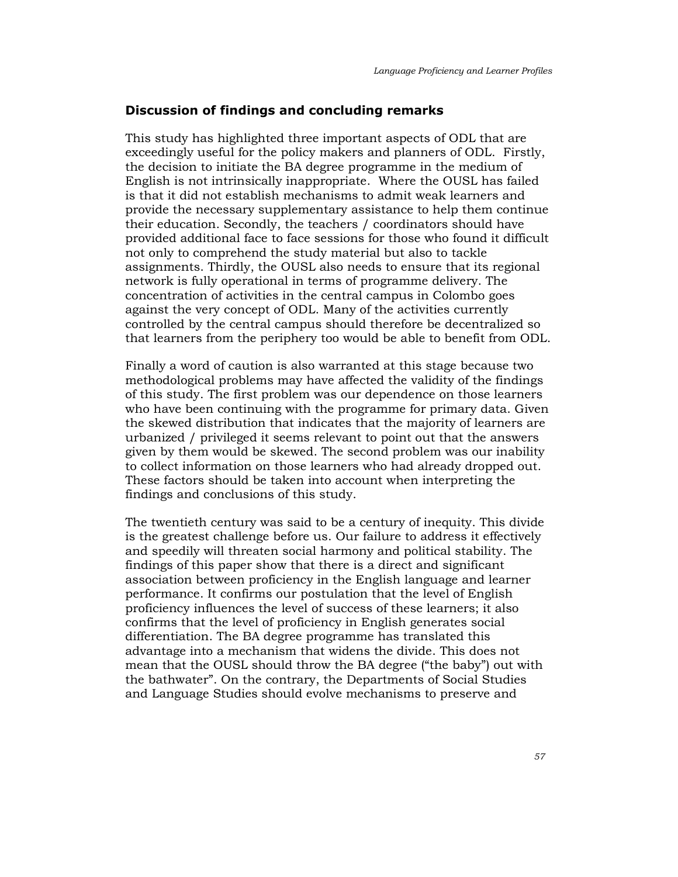# Discussion of findings and concluding remarks

This study has highlighted three important aspects of ODL that are exceedingly useful for the policy makers and planners of ODL. Firstly, the decision to initiate the BA degree programme in the medium of English is not intrinsically inappropriate. Where the OUSL has failed is that it did not establish mechanisms to admit weak learners and provide the necessary supplementary assistance to help them continue their education. Secondly, the teachers / coordinators should have provided additional face to face sessions for those who found it difficult not only to comprehend the study material but also to tackle assignments. Thirdly, the OUSL also needs to ensure that its regional network is fully operational in terms of programme delivery. The concentration of activities in the central campus in Colombo goes against the very concept of ODL. Many of the activities currently controlled by the central campus should therefore be decentralized so that learners from the periphery too would be able to benefit from ODL.

Finally a word of caution is also warranted at this stage because two methodological problems may have affected the validity of the findings of this study. The first problem was our dependence on those learners who have been continuing with the programme for primary data. Given the skewed distribution that indicates that the majority of learners are urbanized / privileged it seems relevant to point out that the answers given by them would be skewed. The second problem was our inability to collect information on those learners who had already dropped out. These factors should be taken into account when interpreting the findings and conclusions of this study.

The twentieth century was said to be a century of inequity. This divide is the greatest challenge before us. Our failure to address it effectively and speedily will threaten social harmony and political stability. The findings of this paper show that there is a direct and significant association between proficiency in the English language and learner performance. It confirms our postulation that the level of English proficiency influences the level of success of these learners; it also confirms that the level of proficiency in English generates social differentiation. The BA degree programme has translated this advantage into a mechanism that widens the divide. This does not mean that the OUSL should throw the BA degree ("the baby") out with the bathwater". On the contrary, the Departments of Social Studies and Language Studies should evolve mechanisms to preserve and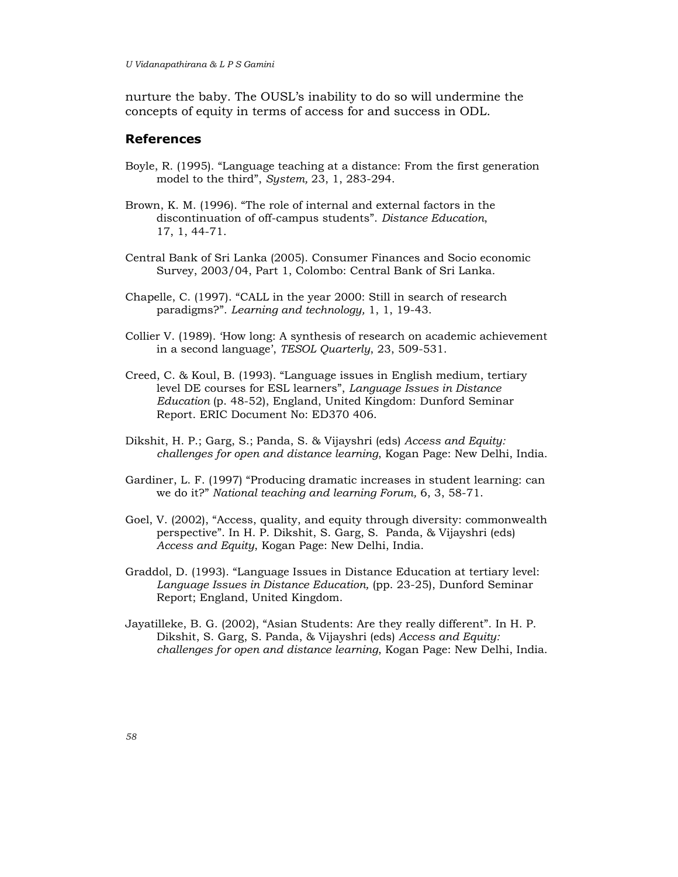nurture the baby. The OUSL's inability to do so will undermine the concepts of equity in terms of access for and success in ODL.

# References

- Boyle, R. (1995). "Language teaching at a distance: From the first generation model to the third", System, 23, 1, 283-294.
- Brown, K. M. (1996). "The role of internal and external factors in the discontinuation of off-campus students". Distance Education, 17, 1, 44-71.
- Central Bank of Sri Lanka (2005). Consumer Finances and Socio economic Survey, 2003/04, Part 1, Colombo: Central Bank of Sri Lanka.
- Chapelle, C. (1997). "CALL in the year 2000: Still in search of research paradigms?". Learning and technology, 1, 1, 19-43.
- Collier V. (1989). 'How long: A synthesis of research on academic achievement in a second language', TESOL Quarterly, 23, 509-531.
- Creed, C. & Koul, B. (1993). "Language issues in English medium, tertiary level DE courses for ESL learners", Language Issues in Distance Education (p. 48-52), England, United Kingdom: Dunford Seminar Report. ERIC Document No: ED370 406.
- Dikshit, H. P.; Garg, S.; Panda, S. & Vijayshri (eds) Access and Equity: challenges for open and distance learning, Kogan Page: New Delhi, India.
- Gardiner, L. F. (1997) "Producing dramatic increases in student learning: can we do it?" National teaching and learning Forum, 6, 3, 58-71.
- Goel, V. (2002), "Access, quality, and equity through diversity: commonwealth perspective". In H. P. Dikshit, S. Garg, S. Panda, & Vijayshri (eds) Access and Equity, Kogan Page: New Delhi, India.
- Graddol, D. (1993). "Language Issues in Distance Education at tertiary level: Language Issues in Distance Education, (pp. 23-25), Dunford Seminar Report; England, United Kingdom.
- Jayatilleke, B. G. (2002), "Asian Students: Are they really different". In H. P. Dikshit, S. Garg, S. Panda, & Vijayshri (eds) Access and Equity: challenges for open and distance learning, Kogan Page: New Delhi, India.